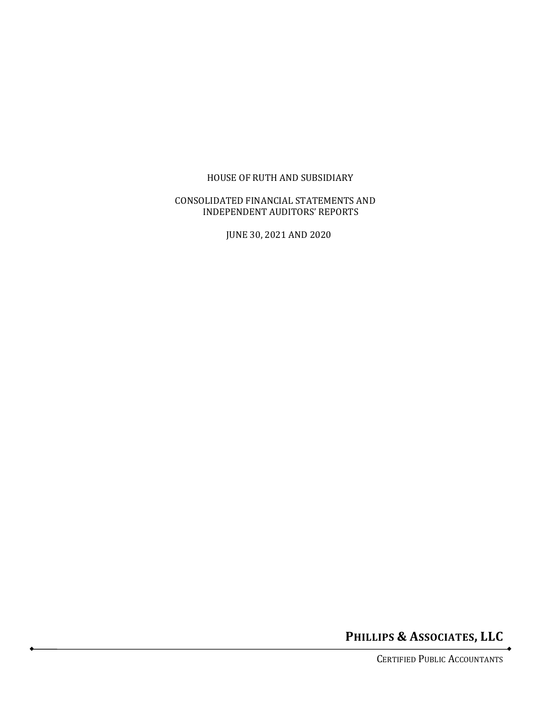# HOUSE OF RUTH AND SUBSIDIARY

# CONSOLIDATED FINANCIAL STATEMENTS AND INDEPENDENT AUDITORS' REPORTS

JUNE 30, 2021 AND 2020

 **PHILLIPS & ASSOCIATES, LLC** 

CERTIFIED PUBLIC ACCOUNTANTS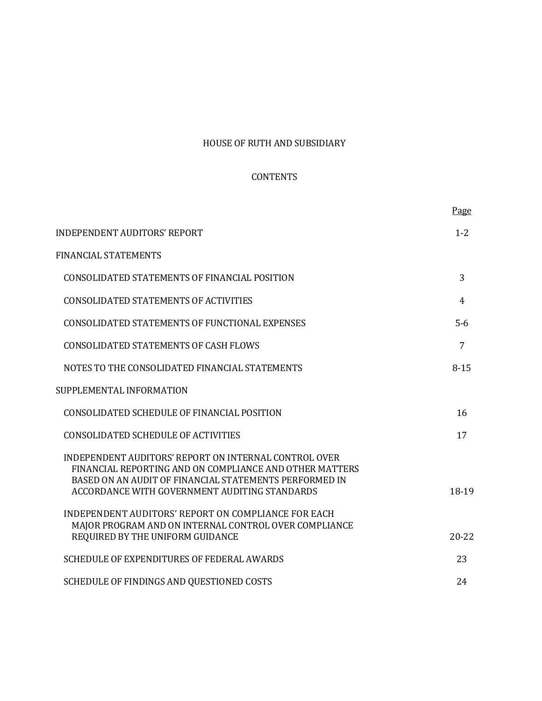# HOUSE OF RUTH AND SUBSIDIARY

# CONTENTS

|                                                                                                                                                                                                                             | Page      |
|-----------------------------------------------------------------------------------------------------------------------------------------------------------------------------------------------------------------------------|-----------|
| <b>INDEPENDENT AUDITORS' REPORT</b>                                                                                                                                                                                         | $1 - 2$   |
| <b>FINANCIAL STATEMENTS</b>                                                                                                                                                                                                 |           |
| CONSOLIDATED STATEMENTS OF FINANCIAL POSITION                                                                                                                                                                               | 3         |
| <b>CONSOLIDATED STATEMENTS OF ACTIVITIES</b>                                                                                                                                                                                | 4         |
| CONSOLIDATED STATEMENTS OF FUNCTIONAL EXPENSES                                                                                                                                                                              | $5-6$     |
| <b>CONSOLIDATED STATEMENTS OF CASH FLOWS</b>                                                                                                                                                                                | 7         |
| NOTES TO THE CONSOLIDATED FINANCIAL STATEMENTS                                                                                                                                                                              | $8 - 15$  |
| SUPPLEMENTAL INFORMATION                                                                                                                                                                                                    |           |
| CONSOLIDATED SCHEDULE OF FINANCIAL POSITION                                                                                                                                                                                 | 16        |
| <b>CONSOLIDATED SCHEDULE OF ACTIVITIES</b>                                                                                                                                                                                  | 17        |
| INDEPENDENT AUDITORS' REPORT ON INTERNAL CONTROL OVER<br>FINANCIAL REPORTING AND ON COMPLIANCE AND OTHER MATTERS<br>BASED ON AN AUDIT OF FINANCIAL STATEMENTS PERFORMED IN<br>ACCORDANCE WITH GOVERNMENT AUDITING STANDARDS | 18-19     |
| INDEPENDENT AUDITORS' REPORT ON COMPLIANCE FOR EACH<br>MAJOR PROGRAM AND ON INTERNAL CONTROL OVER COMPLIANCE<br>REQUIRED BY THE UNIFORM GUIDANCE                                                                            | $20 - 22$ |
| SCHEDULE OF EXPENDITURES OF FEDERAL AWARDS                                                                                                                                                                                  | 23        |
| SCHEDULE OF FINDINGS AND QUESTIONED COSTS                                                                                                                                                                                   | 24        |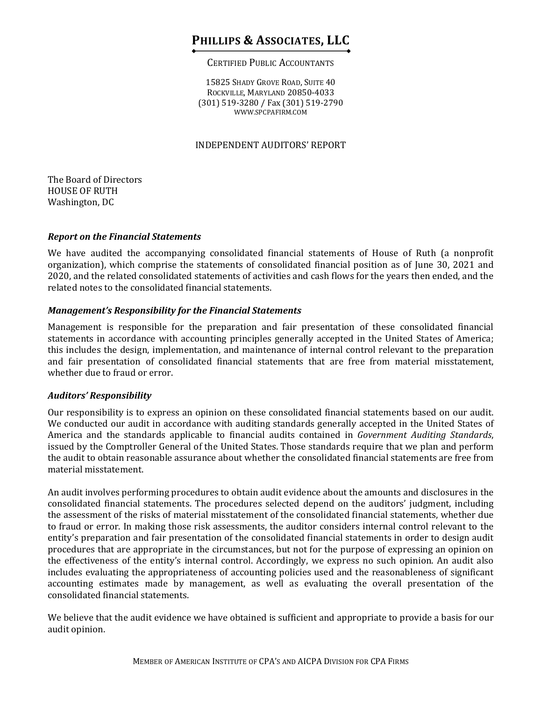# **PHILLIPS & ASSOCIATES, LLC**

CERTIFIED PUBLIC ACCOUNTANTS

15825 SHADY GROVE ROAD, SUITE 40 ROCKVILLE, MARYLAND 20850-4033 (301) 519-3280 / Fax (301) 519-2790 WWW.SPCPAFIRM.COM

# INDEPENDENT AUDITORS' REPORT

The Board of Directors HOUSE OF RUTH Washington, DC

# *Report on the Financial Statements*

We have audited the accompanying consolidated financial statements of House of Ruth (a nonprofit organization), which comprise the statements of consolidated financial position as of June 30, 2021 and 2020, and the related consolidated statements of activities and cash flows for the years then ended, and the related notes to the consolidated financial statements.

# *Management's Responsibility for the Financial Statements*

Management is responsible for the preparation and fair presentation of these consolidated financial statements in accordance with accounting principles generally accepted in the United States of America; this includes the design, implementation, and maintenance of internal control relevant to the preparation and fair presentation of consolidated financial statements that are free from material misstatement, whether due to fraud or error.

# *Auditors' Responsibility*

Our responsibility is to express an opinion on these consolidated financial statements based on our audit. We conducted our audit in accordance with auditing standards generally accepted in the United States of America and the standards applicable to financial audits contained in *Government Auditing Standards*, issued by the Comptroller General of the United States. Those standards require that we plan and perform the audit to obtain reasonable assurance about whether the consolidated financial statements are free from material misstatement.

An audit involves performing procedures to obtain audit evidence about the amounts and disclosures in the consolidated financial statements. The procedures selected depend on the auditors' judgment, including the assessment of the risks of material misstatement of the consolidated financial statements, whether due to fraud or error. In making those risk assessments, the auditor considers internal control relevant to the entity's preparation and fair presentation of the consolidated financial statements in order to design audit procedures that are appropriate in the circumstances, but not for the purpose of expressing an opinion on the effectiveness of the entity's internal control. Accordingly, we express no such opinion. An audit also includes evaluating the appropriateness of accounting policies used and the reasonableness of significant accounting estimates made by management, as well as evaluating the overall presentation of the consolidated financial statements.

We believe that the audit evidence we have obtained is sufficient and appropriate to provide a basis for our audit opinion.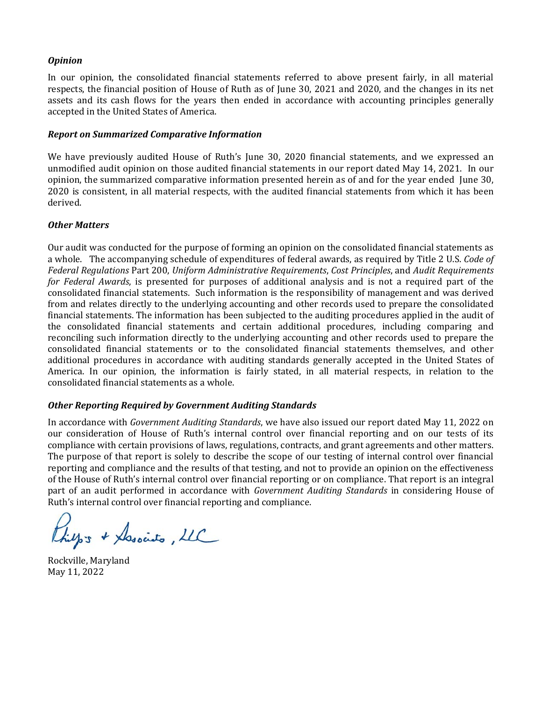# *Opinion*

In our opinion, the consolidated financial statements referred to above present fairly, in all material respects, the financial position of House of Ruth as of June 30, 2021 and 2020, and the changes in its net assets and its cash flows for the years then ended in accordance with accounting principles generally accepted in the United States of America.

# *Report on Summarized Comparative Information*

We have previously audited House of Ruth's June 30, 2020 financial statements, and we expressed an unmodified audit opinion on those audited financial statements in our report dated May 14, 2021. In our opinion, the summarized comparative information presented herein as of and for the year ended June 30, 2020 is consistent, in all material respects, with the audited financial statements from which it has been derived.

# *Other Matters*

Our audit was conducted for the purpose of forming an opinion on the consolidated financial statements as a whole. The accompanying schedule of expenditures of federal awards, as required by Title 2 U.S. *Code of Federal Regulations* Part 200, *Uniform Administrative Requirements*, *Cost Principles*, and *Audit Requirements for Federal Awards*, is presented for purposes of additional analysis and is not a required part of the consolidated financial statements. Such information is the responsibility of management and was derived from and relates directly to the underlying accounting and other records used to prepare the consolidated financial statements. The information has been subjected to the auditing procedures applied in the audit of the consolidated financial statements and certain additional procedures, including comparing and reconciling such information directly to the underlying accounting and other records used to prepare the consolidated financial statements or to the consolidated financial statements themselves, and other additional procedures in accordance with auditing standards generally accepted in the United States of America. In our opinion, the information is fairly stated, in all material respects, in relation to the consolidated financial statements as a whole.

# *Other Reporting Required by Government Auditing Standards*

In accordance with *Government Auditing Standards*, we have also issued our report dated May 11, 2022 on our consideration of House of Ruth's internal control over financial reporting and on our tests of its compliance with certain provisions of laws, regulations, contracts, and grant agreements and other matters. The purpose of that report is solely to describe the scope of our testing of internal control over financial reporting and compliance and the results of that testing, and not to provide an opinion on the effectiveness of the House of Ruth's internal control over financial reporting or on compliance. That report is an integral part of an audit performed in accordance with *Government Auditing Standards* in considering House of Ruth's internal control over financial reporting and compliance.

Philps + Associato, LLC

Rockville, Maryland May 11, 2022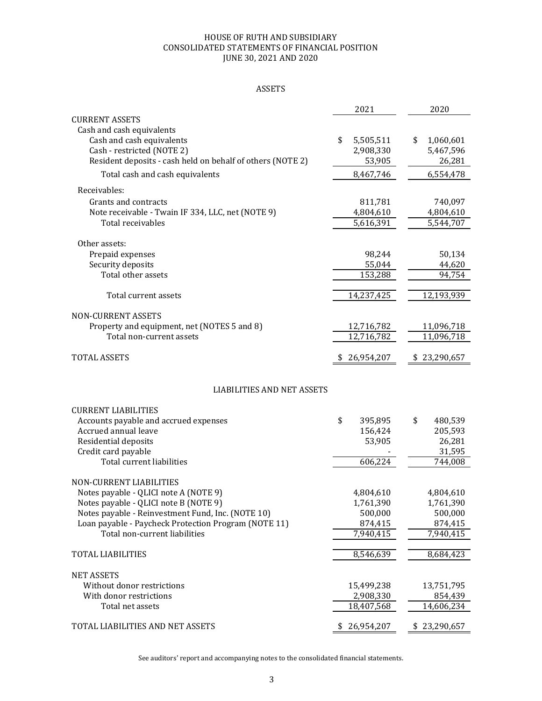#### HOUSE OF RUTH AND SUBSIDIARY CONSOLIDATED STATEMENTS OF FINANCIAL POSITION JUNE 30, 2021 AND 2020

## ASSETS

|                                                                                            | 2021                     | 2020                     |
|--------------------------------------------------------------------------------------------|--------------------------|--------------------------|
| <b>CURRENT ASSETS</b>                                                                      |                          |                          |
| Cash and cash equivalents                                                                  |                          |                          |
| Cash and cash equivalents                                                                  | \$<br>5,505,511          | \$<br>1,060,601          |
| Cash - restricted (NOTE 2)                                                                 | 2,908,330                | 5,467,596                |
| Resident deposits - cash held on behalf of others (NOTE 2)                                 | 53,905                   | 26,281                   |
| Total cash and cash equivalents                                                            | 8,467,746                | 6,554,478                |
| Receivables:                                                                               |                          |                          |
| Grants and contracts                                                                       | 811,781                  | 740,097                  |
| Note receivable - Twain IF 334, LLC, net (NOTE 9)                                          | 4,804,610                | 4,804,610                |
| Total receivables                                                                          | 5,616,391                | 5,544,707                |
| Other assets:                                                                              |                          |                          |
| Prepaid expenses                                                                           | 98,244                   | 50,134                   |
| Security deposits                                                                          | 55,044                   | 44,620                   |
| Total other assets                                                                         | 153,288                  | 94,754                   |
|                                                                                            |                          |                          |
| Total current assets                                                                       | 14,237,425               | 12,193,939               |
| <b>NON-CURRENT ASSETS</b>                                                                  |                          |                          |
| Property and equipment, net (NOTES 5 and 8)                                                | 12,716,782               | 11,096,718               |
| Total non-current assets                                                                   | 12,716,782               | 11,096,718               |
| <b>TOTAL ASSETS</b>                                                                        | 26,954,207               | \$23,290,657             |
| LIABILITIES AND NET ASSETS                                                                 |                          |                          |
|                                                                                            |                          |                          |
| <b>CURRENT LIABILITIES</b>                                                                 |                          |                          |
| Accounts payable and accrued expenses<br>Accrued annual leave                              | \$<br>395,895<br>156,424 | \$<br>480,539<br>205,593 |
| Residential deposits                                                                       | 53,905                   | 26,281                   |
| Credit card payable                                                                        |                          | 31,595                   |
| Total current liabilities                                                                  | 606,224                  | 744,008                  |
|                                                                                            |                          |                          |
| <b>NON-CURRENT LIABILITIES</b>                                                             |                          |                          |
| Notes payable - QLICI note A (NOTE 9)                                                      | 4,804,610<br>1,761,390   | 4,804,610                |
| Notes payable - QLICI note B (NOTE 9)<br>Notes payable - Reinvestment Fund, Inc. (NOTE 10) | 500,000                  | 1,761,390<br>500,000     |
| Loan payable - Paycheck Protection Program (NOTE 11)                                       | 874,415                  | 874,415                  |
| Total non-current liabilities                                                              | 7,940,415                | 7,940,415                |
|                                                                                            |                          |                          |
| <b>TOTAL LIABILITIES</b>                                                                   | 8,546,639                | 8,684,423                |
|                                                                                            |                          |                          |
|                                                                                            |                          |                          |
| <b>NET ASSETS</b>                                                                          |                          |                          |
| Without donor restrictions                                                                 | 15,499,238               | 13,751,795               |
| With donor restrictions<br>Total net assets                                                | 2,908,330<br>18,407,568  | 854,439<br>14,606,234    |
| TOTAL LIABILITIES AND NET ASSETS                                                           | 26,954,207               | \$23,290,657             |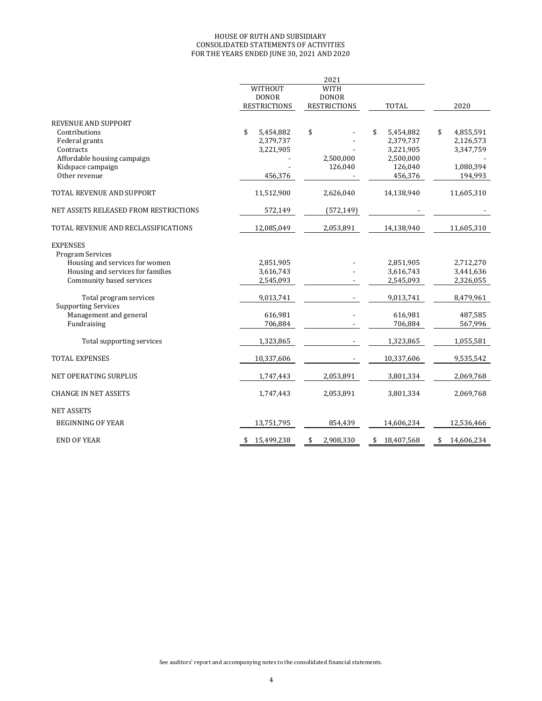#### HOUSE OF RUTH AND SUBSIDIARY FOR THE YEARS ENDED JUNE 30, 2021 AND 2020 CONSOLIDATED STATEMENTS OF ACTIVITIES

|                                       |                     | 2021                |                  |                 |
|---------------------------------------|---------------------|---------------------|------------------|-----------------|
|                                       | WITHOUT             | <b>WITH</b>         |                  |                 |
|                                       | <b>DONOR</b>        | <b>DONOR</b>        |                  |                 |
|                                       | <b>RESTRICTIONS</b> | <b>RESTRICTIONS</b> | TOTAL            | 2020            |
| REVENUE AND SUPPORT                   |                     |                     |                  |                 |
| Contributions                         | \$<br>5,454,882     | \$                  | \$<br>5,454,882  | \$<br>4,855,591 |
| Federal grants                        | 2,379,737           |                     | 2,379,737        | 2,126,573       |
| Contracts                             | 3,221,905           |                     | 3,221,905        | 3,347,759       |
| Affordable housing campaign           |                     | 2,500,000           | 2,500,000        |                 |
| Kidspace campaign                     |                     | 126,040             | 126,040          | 1,080,394       |
| Other revenue                         | 456,376             |                     | 456,376          | 194,993         |
| TOTAL REVENUE AND SUPPORT             | 11,512,900          | 2,626,040           | 14,138,940       | 11,605,310      |
| NET ASSETS RELEASED FROM RESTRICTIONS | 572,149             | (572, 149)          |                  |                 |
| TOTAL REVENUE AND RECLASSIFICATIONS   | 12,085,049          | 2,053,891           | 14,138,940       | 11,605,310      |
| <b>EXPENSES</b>                       |                     |                     |                  |                 |
| <b>Program Services</b>               |                     |                     |                  |                 |
| Housing and services for women        | 2,851,905           |                     | 2,851,905        | 2,712,270       |
| Housing and services for families     | 3,616,743           |                     | 3,616,743        | 3,441,636       |
| Community based services              | 2,545,093           |                     | 2,545,093        | 2,326,055       |
|                                       |                     |                     |                  |                 |
| Total program services                | 9,013,741           |                     | 9,013,741        | 8,479,961       |
| <b>Supporting Services</b>            |                     |                     |                  |                 |
| Management and general                | 616,981             |                     | 616,981          | 487,585         |
| Fundraising                           | 706,884             |                     | 706,884          | 567,996         |
| Total supporting services             | 1,323,865           |                     | 1,323,865        | 1,055,581       |
| <b>TOTAL EXPENSES</b>                 | 10,337,606          |                     | 10,337,606       | 9,535,542       |
| NET OPERATING SURPLUS                 | 1,747,443           | 2,053,891           | 3,801,334        | 2,069,768       |
| <b>CHANGE IN NET ASSETS</b>           | 1,747,443           | 2,053,891           | 3,801,334        | 2,069,768       |
| <b>NET ASSETS</b>                     |                     |                     |                  |                 |
| <b>BEGINNING OF YEAR</b>              | 13,751,795          | 854,439             | 14,606,234       | 12,536,466      |
| <b>END OF YEAR</b>                    | 15,499,238<br>S     | 2,908,330<br>S      | 18,407,568<br>\$ | 14,606,234<br>S |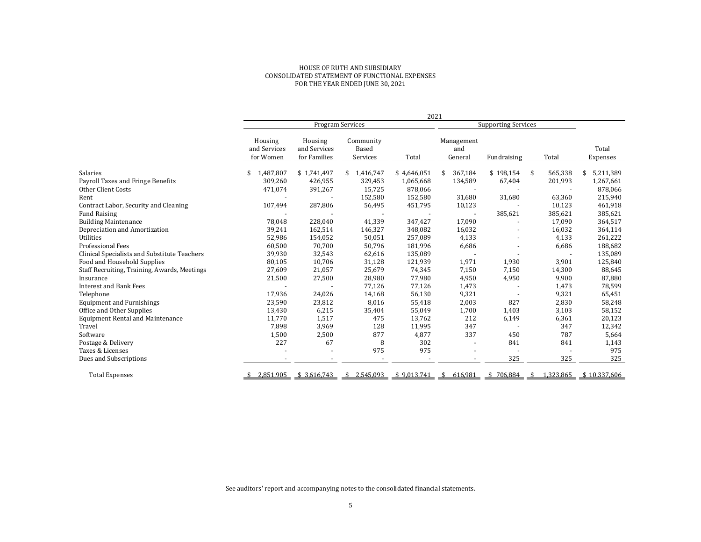#### HOUSE OF RUTH AND SUBSIDIARY CONSOLIDATED STATEMENT OF FUNCTIONAL EXPENSESFOR THE YEAR ENDED JUNE 30, 2021

|                                              |                                                |                                         |                                | 2021        |                              |             |               |                   |
|----------------------------------------------|------------------------------------------------|-----------------------------------------|--------------------------------|-------------|------------------------------|-------------|---------------|-------------------|
|                                              | Program Services<br><b>Supporting Services</b> |                                         |                                |             |                              |             |               |                   |
|                                              | Housing<br>and Services<br>for Women           | Housing<br>and Services<br>for Families | Community<br>Based<br>Services | Total       | Management<br>and<br>General | Fundraising | Total         | Total<br>Expenses |
| Salaries                                     | 1,487,807<br>\$                                | \$1,741,497                             | 1,416,747                      | \$4,646,051 | 367,184                      | \$198,154   | 565,338<br>\$ | 5,211,389<br>\$   |
| Payroll Taxes and Fringe Benefits            | 309,260                                        | 426,955                                 | 329,453                        | 1,065,668   | 134,589                      | 67,404      | 201,993       | 1,267,661         |
| Other Client Costs                           | 471,074                                        | 391,267                                 | 15,725                         | 878,066     |                              |             |               | 878,066           |
| Rent                                         |                                                |                                         | 152,580                        | 152,580     | 31,680                       | 31,680      | 63,360        | 215,940           |
| Contract Labor, Security and Cleaning        | 107,494                                        | 287,806                                 | 56,495                         | 451,795     | 10,123                       |             | 10,123        | 461,918           |
| <b>Fund Raising</b>                          |                                                |                                         |                                |             |                              | 385,621     | 385,621       | 385,621           |
| <b>Building Maintenance</b>                  | 78,048                                         | 228,040                                 | 41,339                         | 347,427     | 17,090                       |             | 17,090        | 364,517           |
| Depreciation and Amortization                | 39,241                                         | 162,514                                 | 146,327                        | 348,082     | 16,032                       |             | 16,032        | 364,114           |
| <b>Utilities</b>                             | 52,986                                         | 154,052                                 | 50,051                         | 257,089     | 4,133                        |             | 4,133         | 261,222           |
| <b>Professional Fees</b>                     | 60,500                                         | 70,700                                  | 50,796                         | 181,996     | 6,686                        |             | 6,686         | 188,682           |
| Clinical Specialists and Substitute Teachers | 39,930                                         | 32,543                                  | 62,616                         | 135,089     |                              |             |               | 135,089           |
| Food and Household Supplies                  | 80,105                                         | 10,706                                  | 31,128                         | 121,939     | 1,971                        | 1,930       | 3,901         | 125,840           |
| Staff Recruiting, Training, Awards, Meetings | 27,609                                         | 21,057                                  | 25,679                         | 74,345      | 7,150                        | 7,150       | 14,300        | 88,645            |
| Insurance                                    | 21,500                                         | 27,500                                  | 28,980                         | 77,980      | 4,950                        | 4,950       | 9,900         | 87,880            |
| <b>Interest and Bank Fees</b>                |                                                |                                         | 77,126                         | 77,126      | 1,473                        |             | 1,473         | 78,599            |
| Telephone                                    | 17,936                                         | 24,026                                  | 14,168                         | 56,130      | 9,321                        |             | 9,321         | 65,451            |
| <b>Equipment and Furnishings</b>             | 23,590                                         | 23,812                                  | 8,016                          | 55,418      | 2,003                        | 827         | 2,830         | 58,248            |
| Office and Other Supplies                    | 13,430                                         | 6,215                                   | 35,404                         | 55,049      | 1,700                        | 1,403       | 3,103         | 58,152            |
| <b>Equipment Rental and Maintenance</b>      | 11,770                                         | 1,517                                   | 475                            | 13,762      | 212                          | 6,149       | 6,361         | 20,123            |
| Travel                                       | 7,898                                          | 3,969                                   | 128                            | 11,995      | 347                          |             | 347           | 12,342            |
| Software                                     | 1,500                                          | 2,500                                   | 877                            | 4,877       | 337                          | 450         | 787           | 5,664             |
| Postage & Delivery                           | 227                                            | 67                                      | 8                              | 302         | $\overline{\phantom{a}}$     | 841         | 841           | 1,143             |
| Taxes & Licenses                             |                                                |                                         | 975                            | 975         |                              |             |               | 975               |
| Dues and Subscriptions                       |                                                |                                         |                                |             |                              | 325         | 325           | 325               |
| <b>Total Expenses</b>                        | 2.851.905                                      | \$3,616,743                             | 2,545,093<br><sup>\$</sup>     | \$9,013,741 | 616,981<br>\$                | \$706.884   | 1,323,865     | \$10,337,606      |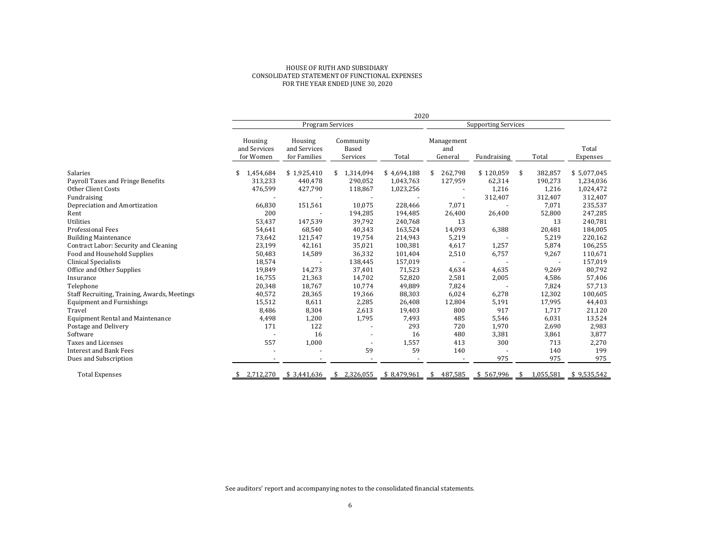#### HOUSE OF RUTH AND SUBSIDIARY CONSOLIDATED STATEMENT OF FUNCTIONAL EXPENSESFOR THE YEAR ENDED JUNE 30, 2020

|                                              | 2020                                 |                                         |                                |             |                              |                            |                  |                   |
|----------------------------------------------|--------------------------------------|-----------------------------------------|--------------------------------|-------------|------------------------------|----------------------------|------------------|-------------------|
|                                              |                                      | <b>Program Services</b>                 |                                |             |                              | <b>Supporting Services</b> |                  |                   |
|                                              | Housing<br>and Services<br>for Women | Housing<br>and Services<br>for Families | Community<br>Based<br>Services | Total       | Management<br>and<br>General | Fundraising                | Total            | Total<br>Expenses |
| Salaries                                     | 1,454,684                            | \$1,925,410                             | 1,314,094                      | \$4,694,188 | 262,798                      | \$120.059                  | \$<br>382.857    | \$5,077,045       |
| Payroll Taxes and Fringe Benefits            | 313,233                              | 440,478                                 | 290,052                        | 1,043,763   | 127,959                      | 62,314                     | 190,273          | 1,234,036         |
| Other Client Costs                           | 476,599                              | 427,790                                 | 118,867                        | 1,023,256   | $\sim$                       | 1,216                      | 1,216            | 1,024,472         |
| Fundraising                                  |                                      |                                         |                                |             |                              | 312,407                    | 312,407          | 312,407           |
| Depreciation and Amortization                | 66,830                               | 151,561                                 | 10,075                         | 228,466     | 7,071                        |                            | 7,071            | 235,537           |
| Rent                                         | 200                                  |                                         | 194,285                        | 194,485     | 26,400                       | 26,400                     | 52,800           | 247,285           |
| <b>Utilities</b>                             | 53,437                               | 147,539                                 | 39,792                         | 240,768     | 13                           |                            | 13               | 240,781           |
| <b>Professional Fees</b>                     | 54,641                               | 68,540                                  | 40,343                         | 163,524     | 14,093                       | 6,388                      | 20,481           | 184,005           |
| <b>Building Maintenance</b>                  | 73,642                               | 121,547                                 | 19,754                         | 214,943     | 5,219                        |                            | 5,219            | 220,162           |
| Contract Labor: Security and Cleaning        | 23,199                               | 42,161                                  | 35,021                         | 100,381     | 4,617                        | 1,257                      | 5,874            | 106,255           |
| Food and Household Supplies                  | 50,483                               | 14,589                                  | 36,332                         | 101,404     | 2,510                        | 6,757                      | 9,267            | 110,671           |
| <b>Clinical Specialists</b>                  | 18,574                               |                                         | 138,445                        | 157,019     | $\sim$                       |                            |                  | 157,019           |
| Office and Other Supplies                    | 19,849                               | 14,273                                  | 37,401                         | 71,523      | 4,634                        | 4,635                      | 9,269            | 80,792            |
| Insurance                                    | 16,755                               | 21,363                                  | 14,702                         | 52,820      | 2,581                        | 2,005                      | 4,586            | 57,406            |
| Telephone                                    | 20,348                               | 18,767                                  | 10,774                         | 49,889      | 7,824                        |                            | 7,824            | 57,713            |
| Staff Recruiting, Training, Awards, Meetings | 40,572                               | 28,365                                  | 19,366                         | 88,303      | 6,024                        | 6,278                      | 12,302           | 100,605           |
| <b>Equipment and Furnishings</b>             | 15,512                               | 8,611                                   | 2,285                          | 26,408      | 12,804                       | 5,191                      | 17,995           | 44,403            |
| Travel                                       | 8,486                                | 8,304                                   | 2,613                          | 19,403      | 800                          | 917                        | 1,717            | 21,120            |
| <b>Equipment Rental and Maintenance</b>      | 4,498                                | 1,200                                   | 1,795                          | 7,493       | 485                          | 5,546                      | 6,031            | 13,524            |
| Postage and Delivery                         | 171                                  | 122                                     |                                | 293         | 720                          | 1,970                      | 2,690            | 2,983             |
| Software                                     | $\overline{a}$                       | 16                                      |                                | 16          | 480                          | 3,381                      | 3,861            | 3,877             |
| Taxes and Licenses                           | 557                                  | 1,000                                   |                                | 1,557       | 413                          | 300                        | 713              | 2,270             |
| <b>Interest and Bank Fees</b>                |                                      |                                         | 59                             | 59          | 140                          |                            | 140              | 199               |
| Dues and Subscription                        |                                      |                                         |                                |             |                              | 975                        | 975              | 975               |
| <b>Total Expenses</b>                        | 2,712,270                            | \$3,441,636                             | 2,326,055<br>-S                | \$8.479.961 | 487,585<br>-S                | \$567,996                  | 1,055,581<br>\$. | \$9,535,542       |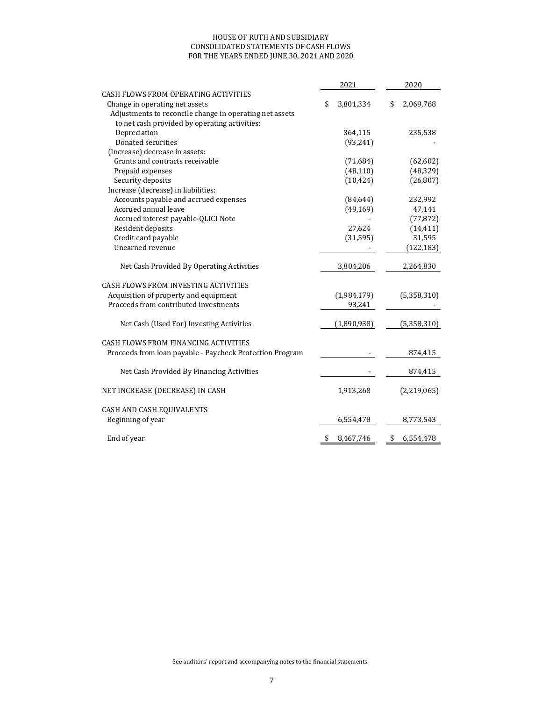#### HOUSE OF RUTH AND SUBSIDIARY CONSOLIDATED STATEMENTS OF CASH FLOWS FOR THE YEARS ENDED JUNE 30, 2021 AND 2020

|                                                          | 2021            | 2020            |
|----------------------------------------------------------|-----------------|-----------------|
| CASH FLOWS FROM OPERATING ACTIVITIES                     |                 |                 |
| Change in operating net assets                           | \$<br>3,801,334 | \$<br>2,069,768 |
| Adjustments to reconcile change in operating net assets  |                 |                 |
| to net cash provided by operating activities:            |                 |                 |
| Depreciation                                             | 364,115         | 235,538         |
| Donated securities                                       | (93, 241)       |                 |
| (Increase) decrease in assets:                           |                 |                 |
| Grants and contracts receivable                          | (71, 684)       | (62, 602)       |
| Prepaid expenses                                         | (48, 110)       | (48, 329)       |
| Security deposits                                        | (10, 424)       | (26, 807)       |
| Increase (decrease) in liabilities:                      |                 |                 |
| Accounts payable and accrued expenses                    | (84, 644)       | 232,992         |
| Accrued annual leave                                     | (49, 169)       | 47,141          |
| Accrued interest payable-QLICI Note                      |                 | (77, 872)       |
| Resident deposits                                        | 27,624          | (14, 411)       |
| Credit card payable                                      | (31, 595)       | 31,595          |
| Unearned revenue                                         |                 | (122, 183)      |
| Net Cash Provided By Operating Activities                | 3,804,206       | 2,264,830       |
| CASH FLOWS FROM INVESTING ACTIVITIES                     |                 |                 |
| Acquisition of property and equipment                    | (1,984,179)     | (5,358,310)     |
| Proceeds from contributed investments                    | 93,241          |                 |
| Net Cash (Used For) Investing Activities                 | (1,890,938)     | (5,358,310)     |
| CASH FLOWS FROM FINANCING ACTIVITIES                     |                 |                 |
| Proceeds from loan payable - Paycheck Protection Program |                 | 874,415         |
| Net Cash Provided By Financing Activities                |                 | 874,415         |
| NET INCREASE (DECREASE) IN CASH                          | 1,913,268       | (2,219,065)     |
| CASH AND CASH EQUIVALENTS                                |                 |                 |
| Beginning of year                                        | 6,554,478       | 8,773,543       |
| End of year                                              | \$<br>8,467,746 | \$<br>6,554,478 |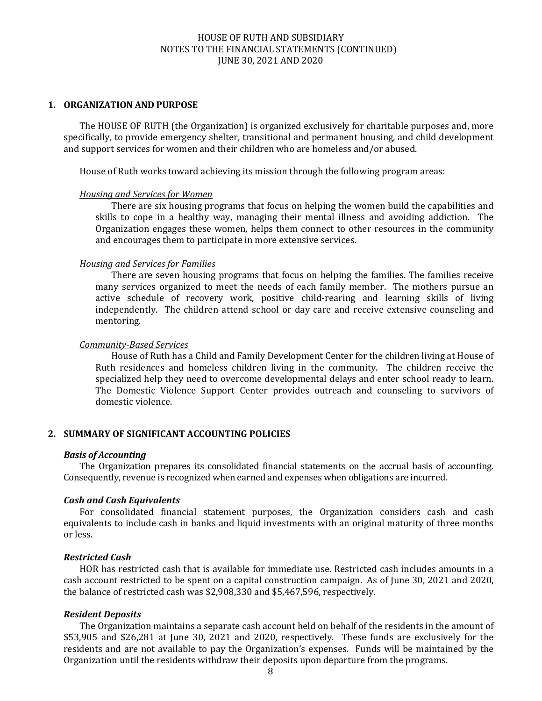## **1. ORGANIZATION AND PURPOSE**

The HOUSE OF RUTH (the Organization) is organized exclusively for charitable purposes and, more specifically, to provide emergency shelter, transitional and permanent housing, and child development and support services for women and their children who are homeless and/or abused.

House of Ruth works toward achieving its mission through the following program areas:

## *Housing and Services for Women*

There are six housing programs that focus on helping the women build the capabilities and skills to cope in a healthy way, managing their mental illness and avoiding addiction. The Organization engages these women, helps them connect to other resources in the community and encourages them to participate in more extensive services.

# *Housing and Services for Families*

There are seven housing programs that focus on helping the families. The families receive many services organized to meet the needs of each family member. The mothers pursue an active schedule of recovery work, positive child-rearing and learning skills of living independently. The children attend school or day care and receive extensive counseling and mentoring.

## *Community-Based Services*

House of Ruth has a Child and Family Development Center for the children living at House of Ruth residences and homeless children living in the community. The children receive the specialized help they need to overcome developmental delays and enter school ready to learn. The Domestic Violence Support Center provides outreach and counseling to survivors of domestic violence.

# **2. SUMMARY OF SIGNIFICANT ACCOUNTING POLICIES**

#### *Basis of Accounting*

The Organization prepares its consolidated financial statements on the accrual basis of accounting. Consequently, revenue is recognized when earned and expenses when obligations are incurred.

# *Cash and Cash Equivalents*

For consolidated financial statement purposes, the Organization considers cash and cash equivalents to include cash in banks and liquid investments with an original maturity of three months or less.

#### *Restricted Cash*

HOR has restricted cash that is available for immediate use. Restricted cash includes amounts in a cash account restricted to be spent on a capital construction campaign. As of June 30, 2021 and 2020, the balance of restricted cash was \$2,908,330 and \$5,467,596, respectively.

#### *Resident Deposits*

The Organization maintains a separate cash account held on behalf of the residents in the amount of \$53,905 and \$26,281 at June 30, 2021 and 2020, respectively. These funds are exclusively for the residents and are not available to pay the Organization's expenses. Funds will be maintained by the Organization until the residents withdraw their deposits upon departure from the programs.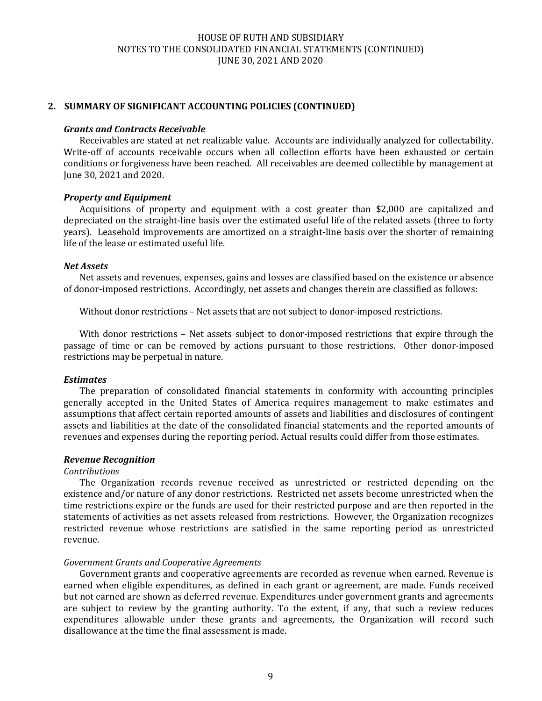# **2. SUMMARY OF SIGNIFICANT ACCOUNTING POLICIES (CONTINUED)**

#### *Grants and Contracts Receivable*

Receivables are stated at net realizable value. Accounts are individually analyzed for collectability. Write-off of accounts receivable occurs when all collection efforts have been exhausted or certain conditions or forgiveness have been reached. All receivables are deemed collectible by management at June 30, 2021 and 2020.

#### *Property and Equipment*

Acquisitions of property and equipment with a cost greater than \$2,000 are capitalized and depreciated on the straight-line basis over the estimated useful life of the related assets (three to forty years). Leasehold improvements are amortized on a straight-line basis over the shorter of remaining life of the lease or estimated useful life.

#### *Net Assets*

Net assets and revenues, expenses, gains and losses are classified based on the existence or absence of donor-imposed restrictions. Accordingly, net assets and changes therein are classified as follows:

Without donor restrictions – Net assets that are not subject to donor-imposed restrictions.

With donor restrictions – Net assets subject to donor-imposed restrictions that expire through the passage of time or can be removed by actions pursuant to those restrictions. Other donor-imposed restrictions may be perpetual in nature.

#### *Estimates*

The preparation of consolidated financial statements in conformity with accounting principles generally accepted in the United States of America requires management to make estimates and assumptions that affect certain reported amounts of assets and liabilities and disclosures of contingent assets and liabilities at the date of the consolidated financial statements and the reported amounts of revenues and expenses during the reporting period. Actual results could differ from those estimates.

#### *Revenue Recognition*

#### *Contributions*

The Organization records revenue received as unrestricted or restricted depending on the existence and/or nature of any donor restrictions. Restricted net assets become unrestricted when the time restrictions expire or the funds are used for their restricted purpose and are then reported in the statements of activities as net assets released from restrictions. However, the Organization recognizes restricted revenue whose restrictions are satisfied in the same reporting period as unrestricted revenue.

#### *Government Grants and Cooperative Agreements*

Government grants and cooperative agreements are recorded as revenue when earned. Revenue is earned when eligible expenditures, as defined in each grant or agreement, are made. Funds received but not earned are shown as deferred revenue. Expenditures under government grants and agreements are subject to review by the granting authority. To the extent, if any, that such a review reduces expenditures allowable under these grants and agreements, the Organization will record such disallowance at the time the final assessment is made.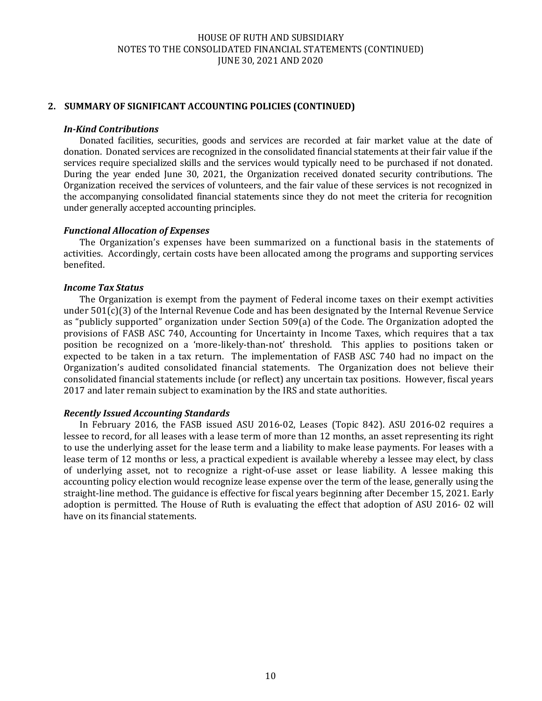# **2. SUMMARY OF SIGNIFICANT ACCOUNTING POLICIES (CONTINUED)**

# *In-Kind Contributions*

Donated facilities, securities, goods and services are recorded at fair market value at the date of donation. Donated services are recognized in the consolidated financial statements at their fair value if the services require specialized skills and the services would typically need to be purchased if not donated. During the year ended June 30, 2021, the Organization received donated security contributions. The Organization received the services of volunteers, and the fair value of these services is not recognized in the accompanying consolidated financial statements since they do not meet the criteria for recognition under generally accepted accounting principles.

## *Functional Allocation of Expenses*

The Organization's expenses have been summarized on a functional basis in the statements of activities. Accordingly, certain costs have been allocated among the programs and supporting services benefited.

## *Income Tax Status*

The Organization is exempt from the payment of Federal income taxes on their exempt activities under 501(c)(3) of the Internal Revenue Code and has been designated by the Internal Revenue Service as "publicly supported" organization under Section 509(a) of the Code. The Organization adopted the provisions of FASB ASC 740, Accounting for Uncertainty in Income Taxes, which requires that a tax position be recognized on a 'more-likely-than-not' threshold. This applies to positions taken or expected to be taken in a tax return. The implementation of FASB ASC 740 had no impact on the Organization's audited consolidated financial statements. The Organization does not believe their consolidated financial statements include (or reflect) any uncertain tax positions. However, fiscal years 2017 and later remain subject to examination by the IRS and state authorities.

# *Recently Issued Accounting Standards*

In February 2016, the FASB issued ASU 2016-02, Leases (Topic 842). ASU 2016-02 requires a lessee to record, for all leases with a lease term of more than 12 months, an asset representing its right to use the underlying asset for the lease term and a liability to make lease payments. For leases with a lease term of 12 months or less, a practical expedient is available whereby a lessee may elect, by class of underlying asset, not to recognize a right-of-use asset or lease liability. A lessee making this accounting policy election would recognize lease expense over the term of the lease, generally using the straight-line method. The guidance is effective for fiscal years beginning after December 15, 2021. Early adoption is permitted. The House of Ruth is evaluating the effect that adoption of ASU 2016- 02 will have on its financial statements.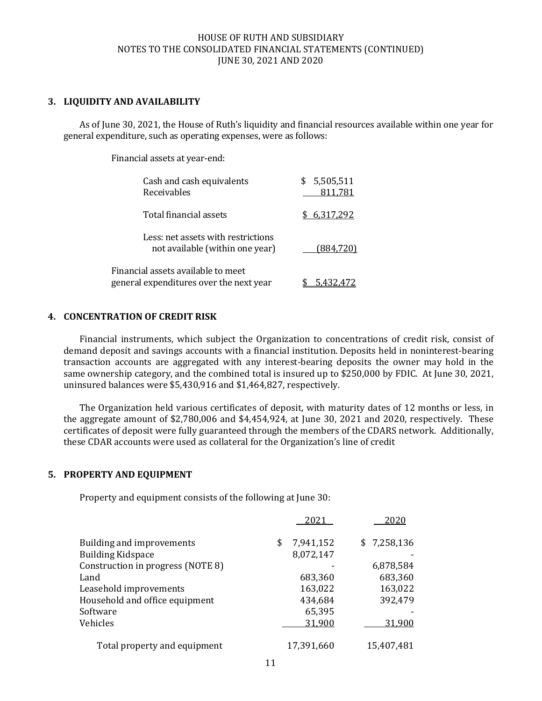# **3. LIQUIDITY AND AVAILABILITY**

As of June 30, 2021, the House of Ruth's liquidity and financial resources available within one year for general expenditure, such as operating expenses, were as follows:

Financial assets at year-end:

| Cash and cash equivalents<br>Receivables                                      | 5,505,511<br>811,781 |
|-------------------------------------------------------------------------------|----------------------|
| Total financial assets                                                        | \$6,317,292          |
| Less: net assets with restrictions<br>not available (within one year)         | (884, 720)           |
| Financial assets available to meet<br>general expenditures over the next year |                      |

## **4. CONCENTRATION OF CREDIT RISK**

Financial instruments, which subject the Organization to concentrations of credit risk, consist of demand deposit and savings accounts with a financial institution. Deposits held in noninterest-bearing transaction accounts are aggregated with any interest-bearing deposits the owner may hold in the same ownership category, and the combined total is insured up to \$250,000 by FDIC. At June 30, 2021, uninsured balances were \$5,430,916 and \$1,464,827, respectively.

The Organization held various certificates of deposit, with maturity dates of 12 months or less, in the aggregate amount of \$2,780,006 and \$4,454,924, at June 30, 2021 and 2020, respectively. These certificates of deposit were fully guaranteed through the members of the CDARS network. Additionally, these CDAR accounts were used as collateral for the Organization's line of credit

#### **5. PROPERTY AND EQUIPMENT**

Property and equipment consists of the following at June 30:

|                                   | 2021       | 2020        |
|-----------------------------------|------------|-------------|
| Building and improvements         | 7,941,152  | \$7,258,136 |
| <b>Building Kidspace</b>          | 8,072,147  |             |
| Construction in progress (NOTE 8) |            | 6,878,584   |
| Land                              | 683,360    | 683,360     |
| Leasehold improvements            | 163,022    | 163,022     |
| Household and office equipment    | 434,684    | 392,479     |
| Software                          | 65,395     |             |
| Vehicles                          | 31,900     | 31,900      |
| Total property and equipment      | 17,391,660 | 15,407,481  |
|                                   |            |             |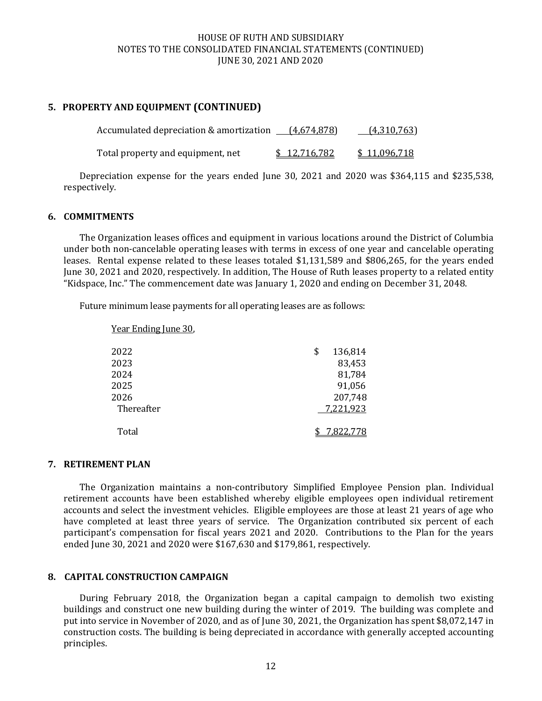# **5. PROPERTY AND EQUIPMENT (CONTINUED)**

Year Ending June 30,

| Accumulated depreciation & amortization | (4,674,878)  | (4,310,763)  |
|-----------------------------------------|--------------|--------------|
| Total property and equipment, net       | \$12,716,782 | \$11,096,718 |

Depreciation expense for the years ended June 30, 2021 and 2020 was \$364,115 and \$235,538, respectively.

## **6. COMMITMENTS**

The Organization leases offices and equipment in various locations around the District of Columbia under both non-cancelable operating leases with terms in excess of one year and cancelable operating leases. Rental expense related to these leases totaled \$1,131,589 and \$806,265, for the years ended June 30, 2021 and 2020, respectively. In addition, The House of Ruth leases property to a related entity "Kidspace, Inc." The commencement date was January 1, 2020 and ending on December 31, 2048.

Future minimum lease payments for all operating leases are as follows:

| <u>Tear Dhùng june Ju</u> |               |
|---------------------------|---------------|
| 2022                      | 136,814<br>\$ |
| 2023                      | 83,453        |
| 2024                      | 81,784        |
| 2025                      | 91,056        |
| 2026                      | 207,748       |
| Thereafter                | 7,221,923     |
| Total                     | 7,822,778     |

# **7. RETIREMENT PLAN**

The Organization maintains a non-contributory Simplified Employee Pension plan. Individual retirement accounts have been established whereby eligible employees open individual retirement accounts and select the investment vehicles. Eligible employees are those at least 21 years of age who have completed at least three years of service. The Organization contributed six percent of each participant's compensation for fiscal years 2021 and 2020. Contributions to the Plan for the years ended June 30, 2021 and 2020 were \$167,630 and \$179,861, respectively.

# **8. CAPITAL CONSTRUCTION CAMPAIGN**

During February 2018, the Organization began a capital campaign to demolish two existing buildings and construct one new building during the winter of 2019. The building was complete and put into service in November of 2020, and as of June 30, 2021, the Organization has spent \$8,072,147 in construction costs. The building is being depreciated in accordance with generally accepted accounting principles.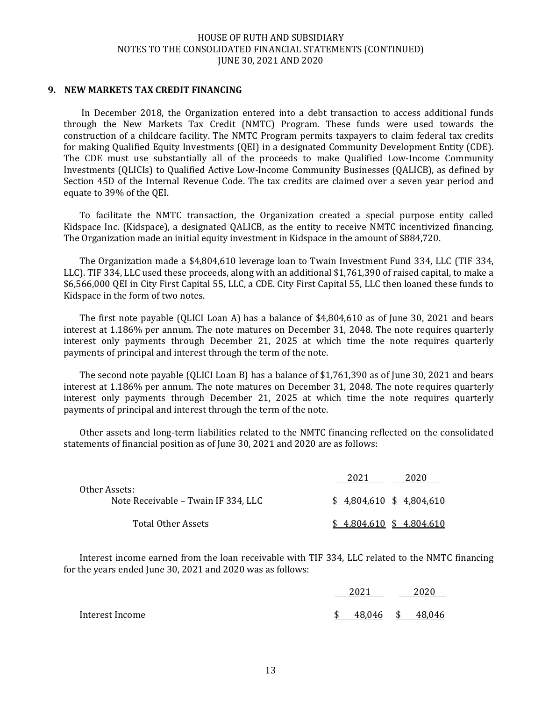#### **9. NEW MARKETS TAX CREDIT FINANCING**

 In December 2018, the Organization entered into a debt transaction to access additional funds through the New Markets Tax Credit (NMTC) Program. These funds were used towards the construction of a childcare facility. The NMTC Program permits taxpayers to claim federal tax credits for making Qualified Equity Investments (QEI) in a designated Community Development Entity (CDE). The CDE must use substantially all of the proceeds to make Qualified Low-Income Community Investments (QLICIs) to Qualified Active Low-Income Community Businesses (QALICB), as defined by Section 45D of the Internal Revenue Code. The tax credits are claimed over a seven year period and equate to 39% of the QEI.

To facilitate the NMTC transaction, the Organization created a special purpose entity called Kidspace Inc. (Kidspace), a designated QALICB, as the entity to receive NMTC incentivized financing. The Organization made an initial equity investment in Kidspace in the amount of \$884,720.

The Organization made a \$4,804,610 leverage loan to Twain Investment Fund 334, LLC (TIF 334, LLC). TIF 334, LLC used these proceeds, along with an additional \$1,761,390 of raised capital, to make a \$6,566,000 QEI in City First Capital 55, LLC, a CDE. City First Capital 55, LLC then loaned these funds to Kidspace in the form of two notes.

The first note payable (QLICI Loan A) has a balance of \$4,804,610 as of June 30, 2021 and bears interest at 1.186% per annum. The note matures on December 31, 2048. The note requires quarterly interest only payments through December 21, 2025 at which time the note requires quarterly payments of principal and interest through the term of the note.

The second note payable (QLICI Loan B) has a balance of \$1,761,390 as of June 30, 2021 and bears interest at 1.186% per annum. The note matures on December 31, 2048. The note requires quarterly interest only payments through December 21, 2025 at which time the note requires quarterly payments of principal and interest through the term of the note.

Other assets and long-term liabilities related to the NMTC financing reflected on the consolidated statements of financial position as of June 30, 2021 and 2020 are as follows:

|                                                      | 2021                      | 2020 |
|------------------------------------------------------|---------------------------|------|
| Other Assets:<br>Note Receivable - Twain IF 334, LLC | $$4,804,610 \ $4,804,610$ |      |
| Total Other Assets                                   | $$4,804,610 \$4,804,610$  |      |

Interest income earned from the loan receivable with TIF 334, LLC related to the NMTC financing for the years ended June 30, 2021 and 2020 was as follows:

|                 | 2021        | 2020   |
|-----------------|-------------|--------|
| Interest Income | $48.046$ \$ | 48.046 |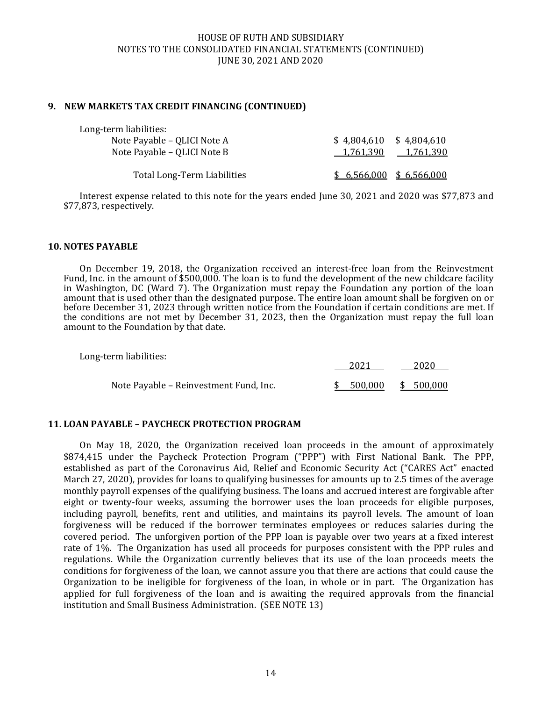# **9. NEW MARKETS TAX CREDIT FINANCING (CONTINUED)**

| Long-term liabilities:      |                           |              |
|-----------------------------|---------------------------|--------------|
| Note Payable - QLICI Note A | $$4,804,610$ $$4,804,610$ |              |
| Note Payable – QLICI Note B | 1.761.390                 | $-1,761,390$ |
| Total Long-Term Liabilities | $$6,566,000 \ $6,566,000$ |              |

Interest expense related to this note for the years ended June 30, 2021 and 2020 was \$77,873 and \$77,873, respectively.

# **10. NOTES PAYABLE**

On December 19, 2018, the Organization received an interest-free loan from the Reinvestment Fund, Inc. in the amount of \$500,000. The loan is to fund the development of the new childcare facility in Washington, DC (Ward 7). The Organization must repay the Foundation any portion of the loan amount that is used other than the designated purpose. The entire loan amount shall be forgiven on or before December 31, 2023 through written notice from the Foundation if certain conditions are met. If the conditions are not met by December 31, 2023, then the Organization must repay the full loan amount to the Foundation by that date.

| Long-term liabilities:                 | 2021    | 2020       |
|----------------------------------------|---------|------------|
| Note Payable – Reinvestment Fund, Inc. | 500,000 | \$ 500,000 |

# **11. LOAN PAYABLE – PAYCHECK PROTECTION PROGRAM**

On May 18, 2020, the Organization received loan proceeds in the amount of approximately \$874,415 under the Paycheck Protection Program ("PPP") with First National Bank. The PPP, established as part of the Coronavirus Aid, Relief and Economic Security Act ("CARES Act" enacted March 27, 2020), provides for loans to qualifying businesses for amounts up to 2.5 times of the average monthly payroll expenses of the qualifying business. The loans and accrued interest are forgivable after eight or twenty-four weeks, assuming the borrower uses the loan proceeds for eligible purposes, including payroll, benefits, rent and utilities, and maintains its payroll levels. The amount of loan forgiveness will be reduced if the borrower terminates employees or reduces salaries during the covered period. The unforgiven portion of the PPP loan is payable over two years at a fixed interest rate of 1%. The Organization has used all proceeds for purposes consistent with the PPP rules and regulations. While the Organization currently believes that its use of the loan proceeds meets the conditions for forgiveness of the loan, we cannot assure you that there are actions that could cause the Organization to be ineligible for forgiveness of the loan, in whole or in part. The Organization has applied for full forgiveness of the loan and is awaiting the required approvals from the financial institution and Small Business Administration. (SEE NOTE 13)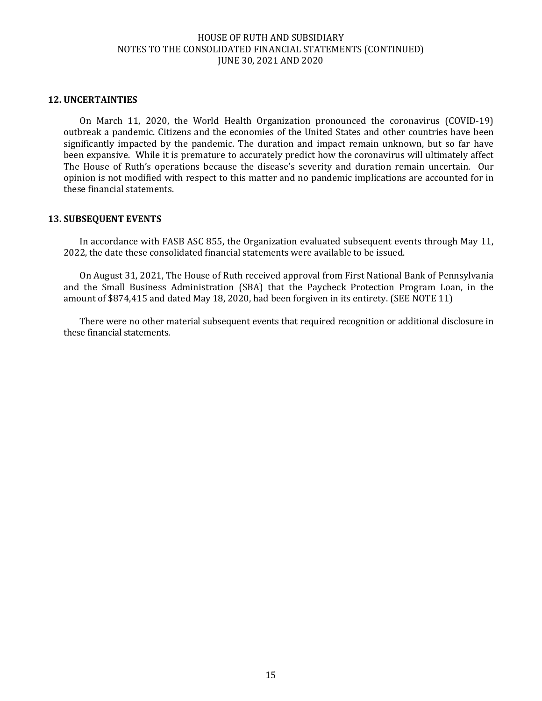# **12. UNCERTAINTIES**

On March 11, 2020, the World Health Organization pronounced the coronavirus (COVID-19) outbreak a pandemic. Citizens and the economies of the United States and other countries have been significantly impacted by the pandemic. The duration and impact remain unknown, but so far have been expansive. While it is premature to accurately predict how the coronavirus will ultimately affect The House of Ruth's operations because the disease's severity and duration remain uncertain. Our opinion is not modified with respect to this matter and no pandemic implications are accounted for in these financial statements.

## **13. SUBSEQUENT EVENTS**

In accordance with FASB ASC 855, the Organization evaluated subsequent events through May 11, 2022, the date these consolidated financial statements were available to be issued.

On August 31, 2021, The House of Ruth received approval from First National Bank of Pennsylvania and the Small Business Administration (SBA) that the Paycheck Protection Program Loan, in the amount of \$874,415 and dated May 18, 2020, had been forgiven in its entirety. (SEE NOTE 11)

There were no other material subsequent events that required recognition or additional disclosure in these financial statements.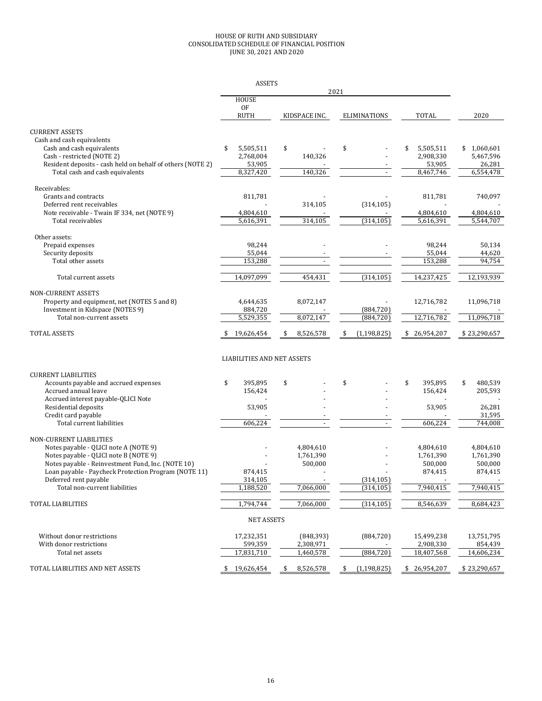#### HOUSE OF RUTH AND SUBSIDIARY CONSOLIDATED SCHEDULE OF FINANCIAL POSITION JUNE 30, 2021 AND 2020

|                                                            | <b>ASSETS</b>              |                 |                     |                  |                 |
|------------------------------------------------------------|----------------------------|-----------------|---------------------|------------------|-----------------|
|                                                            | 2021                       |                 |                     |                  |                 |
|                                                            | <b>HOUSE</b>               |                 |                     |                  |                 |
|                                                            | 0F<br><b>RUTH</b>          |                 |                     | <b>TOTAL</b>     | 2020            |
|                                                            |                            | KIDSPACE INC.   | <b>ELIMINATIONS</b> |                  |                 |
| <b>CURRENT ASSETS</b>                                      |                            |                 |                     |                  |                 |
| Cash and cash equivalents                                  |                            |                 |                     |                  |                 |
| Cash and cash equivalents                                  | 5,505,511<br>\$            | \$              | \$                  | \$<br>5,505,511  | \$<br>1,060,601 |
| Cash - restricted (NOTE 2)                                 | 2,768,004                  | 140,326         |                     | 2,908,330        | 5,467,596       |
| Resident deposits - cash held on behalf of others (NOTE 2) | 53,905                     |                 |                     | 53,905           | 26,281          |
| Total cash and cash equivalents                            | 8,327,420                  | 140,326         |                     | 8,467,746        | 6,554,478       |
|                                                            |                            |                 |                     |                  |                 |
| Receivables:                                               |                            |                 |                     |                  |                 |
| Grants and contracts                                       | 811,781                    |                 |                     | 811,781          | 740,097         |
| Deferred rent receivables                                  |                            | 314,105         | (314, 105)          |                  |                 |
| Note receivable - Twain IF 334, net (NOTE 9)               | 4,804,610                  |                 |                     | 4,804,610        | 4,804,610       |
| Total receivables                                          | 5,616,391                  | 314,105         | (314, 105)          | 5,616,391        | 5,544,707       |
| Other assets:                                              |                            |                 |                     |                  |                 |
| Prepaid expenses                                           | 98,244                     |                 |                     | 98,244           | 50,134          |
| Security deposits                                          | 55,044                     |                 |                     | 55,044           | 44,620          |
| Total other assets                                         | 153,288                    |                 |                     | 153,288          | 94,754          |
|                                                            |                            |                 |                     |                  |                 |
| Total current assets                                       | 14,097,099                 | 454,431         | (314, 105)          | 14,237,425       | 12,193,939      |
|                                                            |                            |                 |                     |                  |                 |
| NON-CURRENT ASSETS                                         |                            |                 |                     |                  |                 |
| Property and equipment, net (NOTES 5 and 8)                | 4,644,635                  | 8,072,147       |                     | 12,716,782       | 11,096,718      |
| Investment in Kidspace (NOTES 9)                           | 884,720                    |                 | (884, 720)          |                  |                 |
| Total non-current assets                                   | 5,529,355                  | 8,072,147       | (884, 720)          | 12,716,782       | 11,096,718      |
|                                                            |                            |                 |                     |                  |                 |
| TOTAL ASSETS                                               | 19,626,454                 | 8,526,578<br>\$ | (1, 198, 825)<br>\$ | 26,954,207<br>\$ | \$23,290,657    |
|                                                            |                            |                 |                     |                  |                 |
|                                                            | LIABILITIES AND NET ASSETS |                 |                     |                  |                 |
| <b>CURRENT LIABILITIES</b>                                 |                            |                 |                     |                  |                 |
| Accounts payable and accrued expenses                      | \$<br>395,895              | \$              | \$                  | \$<br>395,895    | \$<br>480,539   |
| Accrued annual leave                                       | 156,424                    |                 |                     | 156,424          | 205,593         |
| Accrued interest payable-QLICI Note                        |                            |                 |                     |                  |                 |
| Residential deposits                                       | 53,905                     |                 |                     | 53,905           | 26,281          |
| Credit card payable                                        |                            |                 |                     |                  | 31,595          |
| Total current liabilities                                  | 606,224                    |                 |                     | 606,224          | 744,008         |
|                                                            |                            |                 |                     |                  |                 |
| NON-CURRENT LIABILITIES                                    |                            |                 |                     |                  |                 |
| Notes payable - QLICI note A (NOTE 9)                      |                            | 4,804,610       |                     | 4,804,610        | 4,804,610       |
| Notes payable - QLICI note B (NOTE 9)                      |                            | 1,761,390       |                     | 1,761,390        | 1,761,390       |
| Notes payable - Reinvestment Fund, Inc. (NOTE 10)          |                            | 500,000         |                     | 500,000          | 500,000         |
| Loan payable - Paycheck Protection Program (NOTE 11)       | 874,415                    |                 |                     | 874,415          | 874,415         |
| Deferred rent payable                                      | 314,105                    |                 | (314, 105)          |                  |                 |
| Total non-current liabilities                              | 1,188,520                  | 7,066,000       | (314, 105)          | 7,940,415        | 7,940,415       |
| <b>TOTAL LIABILITIES</b>                                   | 1,794,744                  | 7,066,000       | (314, 105)          | 8,546,639        | 8,684,423       |
|                                                            |                            |                 |                     |                  |                 |
|                                                            | <b>NET ASSETS</b>          |                 |                     |                  |                 |
| Without donor restrictions                                 | 17,232,351                 | (848, 393)      | (884, 720)          | 15,499,238       | 13,751,795      |
| With donor restrictions                                    | 599,359                    | 2,308,971       |                     | 2,908,330        | 854,439         |
| Total net assets                                           | 17,831,710                 | 1,460,578       | (884, 720)          | 18,407,568       | 14,606,234      |
| TOTAL LIABILITIES AND NET ASSETS                           | 19,626,454<br>\$           | \$<br>8,526,578 | (1, 198, 825)<br>\$ | \$ 26,954,207    | \$23,290,657    |
|                                                            |                            |                 |                     |                  |                 |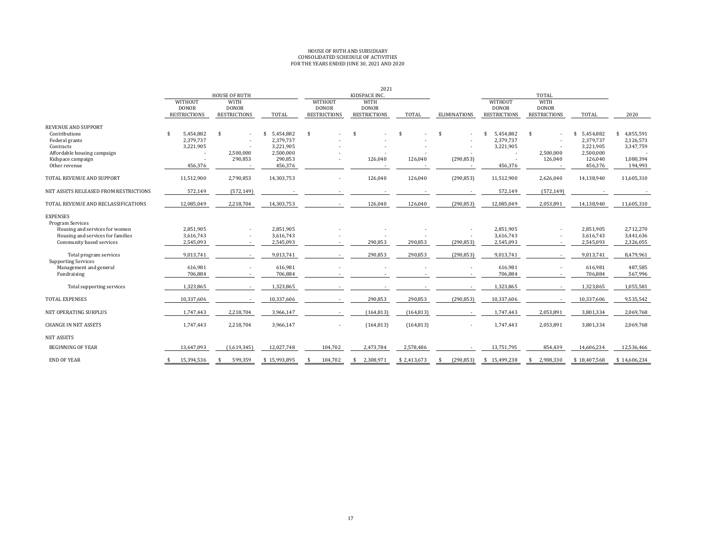# HOUSE OF RUTH AND SUBSIDIARY<br>CONSOLIDATED SCHEDULE OF ACTIVITIES<br>FOR THE YEARS ENDED JUNE 30, 2021 AND 2020

|                                                                                                                                                 |                                                                      | <b>HOUSE OF RUTH</b>                                 |                                                                              |                                                       | 2021<br>KIDSPACE INC.                              |                               |                                  |                                                       | <b>TOTAL</b>                                           |                                                                              |                                                                   |
|-------------------------------------------------------------------------------------------------------------------------------------------------|----------------------------------------------------------------------|------------------------------------------------------|------------------------------------------------------------------------------|-------------------------------------------------------|----------------------------------------------------|-------------------------------|----------------------------------|-------------------------------------------------------|--------------------------------------------------------|------------------------------------------------------------------------------|-------------------------------------------------------------------|
|                                                                                                                                                 | WITHOUT<br><b>DONOR</b><br><b>RESTRICTIONS</b>                       | <b>WITH</b><br><b>DONOR</b><br><b>RESTRICTIONS</b>   | <b>TOTAL</b>                                                                 | <b>WITHOUT</b><br><b>DONOR</b><br><b>RESTRICTIONS</b> | <b>WITH</b><br><b>DONOR</b><br><b>RESTRICTIONS</b> | TOTAL                         | <b>ELIMINATIONS</b>              | <b>WITHOUT</b><br><b>DONOR</b><br><b>RESTRICTIONS</b> | <b>WITH</b><br><b>DONOR</b><br><b>RESTRICTIONS</b>     | TOTAL                                                                        | 2020                                                              |
| <b>REVENUE AND SUPPORT</b><br>Contributions<br>Federal grants<br>Contracts<br>Affordable housing campaign<br>Kidspace campaign<br>Other revenue | 5,454,882<br>$\mathbf{\hat{s}}$<br>2,379,737<br>3,221,905<br>456,376 | $\mathbf{\hat{S}}$<br>2,500,000<br>290,853<br>$\sim$ | 5,454,882<br>\$<br>2,379,737<br>3,221,905<br>2,500,000<br>290,853<br>456,376 | $\mathbf{s}$                                          | $\mathbf{\hat{S}}$<br>126,040                      | $\hat{\mathbf{x}}$<br>126,040 | $\mathbf{\hat{s}}$<br>(290, 853) | 5,454,882<br>2,379,737<br>3,221,905<br>456,376        | \$<br>2,500,000<br>126,040<br>$\overline{\phantom{a}}$ | 5,454,882<br>\$<br>2,379,737<br>3,221,905<br>2,500,000<br>126,040<br>456,376 | 4,855,591<br>\$<br>2,126,573<br>3,347,759<br>1,080,394<br>194,993 |
| TOTAL REVENUE AND SUPPORT                                                                                                                       | 11,512,900                                                           | 2,790,853                                            | 14,303,753                                                                   |                                                       | 126,040                                            | 126,040                       | (290, 853)                       | 11,512,900                                            | 2,626,040                                              | 14,138,940                                                                   | 11,605,310                                                        |
| NET ASSETS RELEASED FROM RESTRICTIONS                                                                                                           | 572,149                                                              | (572, 149)                                           |                                                                              |                                                       |                                                    |                               |                                  | 572,149                                               | (572, 149)                                             |                                                                              |                                                                   |
| TOTAL REVENUE AND RECLASSIFICATIONS                                                                                                             | 12,085,049                                                           | 2,218,704                                            | 14,303,753                                                                   |                                                       | 126,040                                            | 126,040                       | (290, 853)                       | 12,085,049                                            | 2,053,891                                              | 14,138,940                                                                   | 11,605,310                                                        |
| <b>EXPENSES</b><br>Program Services<br>Housing and services for women<br>Housing and services for families<br>Community based services          | 2.851.905<br>3,616,743<br>2,545,093                                  |                                                      | 2.851.905<br>3,616,743<br>2,545,093                                          |                                                       | 290,853                                            | 290,853                       | (290, 853)                       | 2,851,905<br>3,616,743<br>2,545,093                   |                                                        | 2.851.905<br>3,616,743<br>2,545,093                                          | 2,712,270<br>3,441,636<br>2,326,055                               |
| Total program services<br><b>Supporting Services</b><br>Management and general<br>Fundraising                                                   | 9,013,741<br>616,981<br>706,884                                      |                                                      | 9,013,741<br>616,981<br>706,884                                              |                                                       | 290,853                                            | 290,853                       | (290, 853)                       | 9,013,741<br>616,981<br>706,884                       |                                                        | 9,013,741<br>616,981<br>706,884                                              | 8,479,961<br>487,585<br>567,996                                   |
| Total supporting services                                                                                                                       | 1,323,865                                                            |                                                      | 1,323,865                                                                    |                                                       |                                                    |                               |                                  | 1,323,865                                             |                                                        | 1,323,865                                                                    | 1,055,581                                                         |
| <b>TOTAL EXPENSES</b>                                                                                                                           | 10,337,606                                                           |                                                      | 10,337,606                                                                   |                                                       | 290,853                                            | 290,853                       | (290, 853)                       | 10,337,606                                            |                                                        | 10,337,606                                                                   | 9,535,542                                                         |
| NET OPERATING SURPLUS                                                                                                                           | 1,747,443                                                            | 2,218,704                                            | 3,966,147                                                                    | $\overline{a}$                                        | (164, 813)                                         | (164, 813)                    |                                  | 1,747,443                                             | 2,053,891                                              | 3,801,334                                                                    | 2,069,768                                                         |
| <b>CHANGE IN NET ASSETS</b>                                                                                                                     | 1,747,443                                                            | 2,218,704                                            | 3,966,147                                                                    | ٠                                                     | (164, 813)                                         | (164, 813)                    |                                  | 1,747,443                                             | 2,053,891                                              | 3,801,334                                                                    | 2,069,768                                                         |
| <b>NET ASSETS</b><br><b>BEGINNING OF YEAR</b>                                                                                                   | 13,647,093                                                           | (1,619,345)                                          | 12,027,748                                                                   | 104,702                                               | 2,473,784                                          | 2,578,486                     |                                  | 13,751,795                                            | 854,439                                                | 14,606,234                                                                   | 12,536,466                                                        |
| <b>END OF YEAR</b>                                                                                                                              | 15,394,536<br>-S                                                     | 599,359<br>-S                                        | \$15,993,895                                                                 | 104,702                                               | 2,308,971<br>-S                                    | \$2,413,673                   | (290, 853)                       | \$15,499,238                                          | 2,908,330<br>- \$                                      | \$18,407,568                                                                 | \$14,606,234                                                      |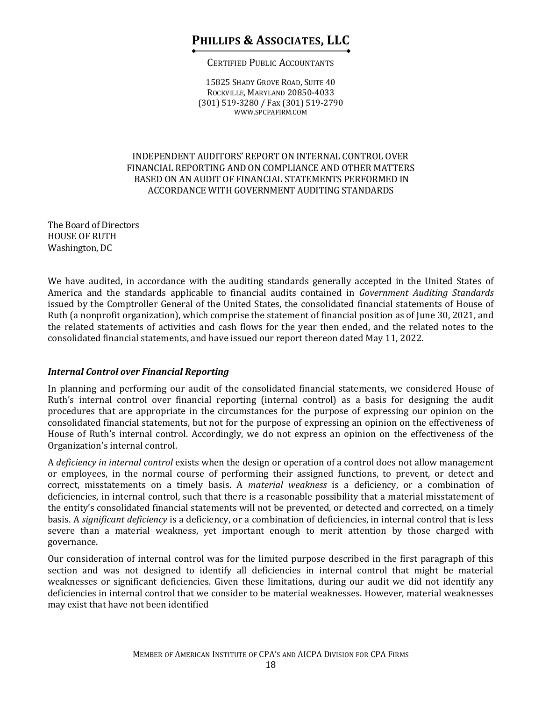# **PHILLIPS & ASSOCIATES, LLC**

CERTIFIED PUBLIC ACCOUNTANTS

15825 SHADY GROVE ROAD, SUITE 40 ROCKVILLE, MARYLAND 20850-4033 (301) 519-3280 / Fax (301) 519-2790 WWW.SPCPAFIRM.COM

# INDEPENDENT AUDITORS' REPORT ON INTERNAL CONTROL OVER FINANCIAL REPORTING AND ON COMPLIANCE AND OTHER MATTERS BASED ON AN AUDIT OF FINANCIAL STATEMENTS PERFORMED IN ACCORDANCE WITH GOVERNMENT AUDITING STANDARDS

The Board of Directors HOUSE OF RUTH Washington, DC

We have audited, in accordance with the auditing standards generally accepted in the United States of America and the standards applicable to financial audits contained in *Government Auditing Standards* issued by the Comptroller General of the United States, the consolidated financial statements of House of Ruth (a nonprofit organization), which comprise the statement of financial position as of June 30, 2021, and the related statements of activities and cash flows for the year then ended, and the related notes to the consolidated financial statements, and have issued our report thereon dated May 11, 2022.

# *Internal Control over Financial Reporting*

In planning and performing our audit of the consolidated financial statements, we considered House of Ruth's internal control over financial reporting (internal control) as a basis for designing the audit procedures that are appropriate in the circumstances for the purpose of expressing our opinion on the consolidated financial statements, but not for the purpose of expressing an opinion on the effectiveness of House of Ruth's internal control. Accordingly, we do not express an opinion on the effectiveness of the Organization's internal control.

A *deficiency in internal control* exists when the design or operation of a control does not allow management or employees, in the normal course of performing their assigned functions, to prevent, or detect and correct, misstatements on a timely basis. A *material weakness* is a deficiency, or a combination of deficiencies, in internal control, such that there is a reasonable possibility that a material misstatement of the entity's consolidated financial statements will not be prevented, or detected and corrected, on a timely basis. A *significant deficiency* is a deficiency, or a combination of deficiencies, in internal control that is less severe than a material weakness, yet important enough to merit attention by those charged with governance.

Our consideration of internal control was for the limited purpose described in the first paragraph of this section and was not designed to identify all deficiencies in internal control that might be material weaknesses or significant deficiencies. Given these limitations, during our audit we did not identify any deficiencies in internal control that we consider to be material weaknesses. However, material weaknesses may exist that have not been identified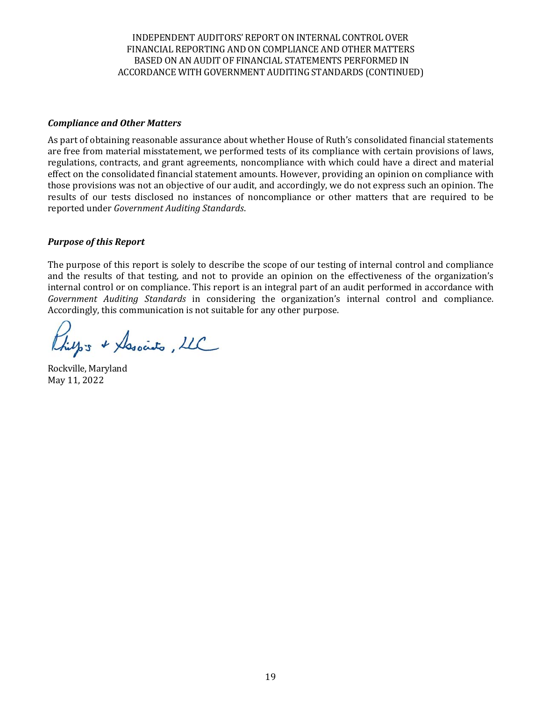INDEPENDENT AUDITORS' REPORT ON INTERNAL CONTROL OVER FINANCIAL REPORTING AND ON COMPLIANCE AND OTHER MATTERS BASED ON AN AUDIT OF FINANCIAL STATEMENTS PERFORMED IN ACCORDANCE WITH GOVERNMENT AUDITING STANDARDS (CONTINUED)

# *Compliance and Other Matters*

As part of obtaining reasonable assurance about whether House of Ruth's consolidated financial statements are free from material misstatement, we performed tests of its compliance with certain provisions of laws, regulations, contracts, and grant agreements, noncompliance with which could have a direct and material effect on the consolidated financial statement amounts. However, providing an opinion on compliance with those provisions was not an objective of our audit, and accordingly, we do not express such an opinion. The results of our tests disclosed no instances of noncompliance or other matters that are required to be reported under *Government Auditing Standards*.

# *Purpose of this Report*

The purpose of this report is solely to describe the scope of our testing of internal control and compliance and the results of that testing, and not to provide an opinion on the effectiveness of the organization's internal control or on compliance. This report is an integral part of an audit performed in accordance with *Government Auditing Standards* in considering the organization's internal control and compliance. Accordingly, this communication is not suitable for any other purpose.

Lips + Associato, LLC

Rockville, Maryland May 11, 2022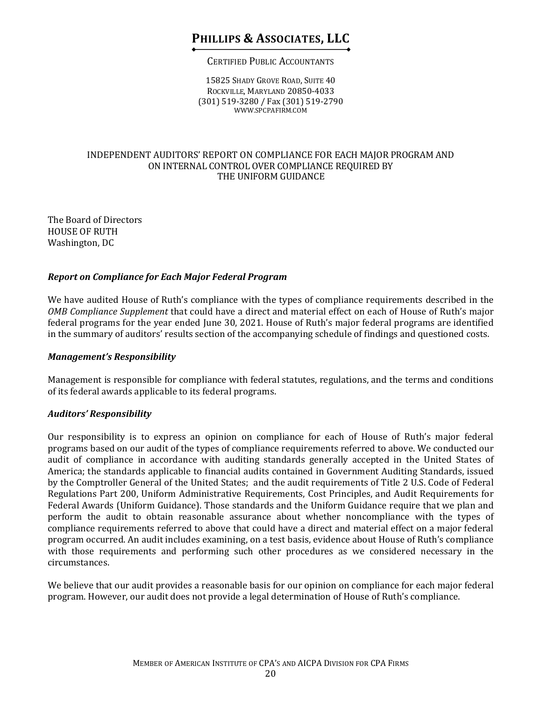# **PHILLIPS & ASSOCIATES, LLC**

CERTIFIED PUBLIC ACCOUNTANTS

15825 SHADY GROVE ROAD, SUITE 40 ROCKVILLE, MARYLAND 20850-4033 (301) 519-3280 / Fax (301) 519-2790 WWW.SPCPAFIRM.COM

## INDEPENDENT AUDITORS' REPORT ON COMPLIANCE FOR EACH MAJOR PROGRAM AND ON INTERNAL CONTROL OVER COMPLIANCE REQUIRED BY THE UNIFORM GUIDANCE

The Board of Directors HOUSE OF RUTH Washington, DC

# *Report on Compliance for Each Major Federal Program*

We have audited House of Ruth's compliance with the types of compliance requirements described in the *OMB Compliance Supplement* that could have a direct and material effect on each of House of Ruth's major federal programs for the year ended June 30, 2021. House of Ruth's major federal programs are identified in the summary of auditors' results section of the accompanying schedule of findings and questioned costs.

# *Management's Responsibility*

Management is responsible for compliance with federal statutes, regulations, and the terms and conditions of its federal awards applicable to its federal programs.

# *Auditors' Responsibility*

Our responsibility is to express an opinion on compliance for each of House of Ruth's major federal programs based on our audit of the types of compliance requirements referred to above. We conducted our audit of compliance in accordance with auditing standards generally accepted in the United States of America; the standards applicable to financial audits contained in Government Auditing Standards, issued by the Comptroller General of the United States; and the audit requirements of Title 2 U.S. Code of Federal Regulations Part 200, Uniform Administrative Requirements, Cost Principles, and Audit Requirements for Federal Awards (Uniform Guidance). Those standards and the Uniform Guidance require that we plan and perform the audit to obtain reasonable assurance about whether noncompliance with the types of compliance requirements referred to above that could have a direct and material effect on a major federal program occurred. An audit includes examining, on a test basis, evidence about House of Ruth's compliance with those requirements and performing such other procedures as we considered necessary in the circumstances.

We believe that our audit provides a reasonable basis for our opinion on compliance for each major federal program. However, our audit does not provide a legal determination of House of Ruth's compliance.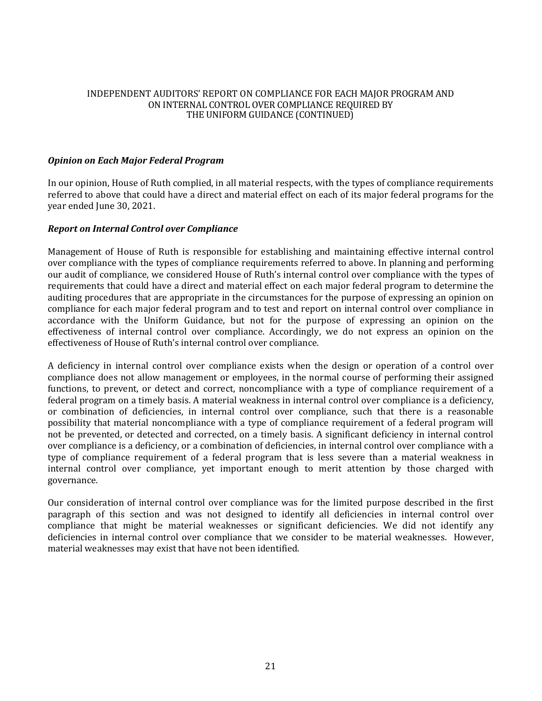# INDEPENDENT AUDITORS' REPORT ON COMPLIANCE FOR EACH MAJOR PROGRAM AND ON INTERNAL CONTROL OVER COMPLIANCE REQUIRED BY THE UNIFORM GUIDANCE (CONTINUED)

# *Opinion on Each Major Federal Program*

In our opinion, House of Ruth complied, in all material respects, with the types of compliance requirements referred to above that could have a direct and material effect on each of its major federal programs for the year ended June 30, 2021.

# *Report on Internal Control over Compliance*

Management of House of Ruth is responsible for establishing and maintaining effective internal control over compliance with the types of compliance requirements referred to above. In planning and performing our audit of compliance, we considered House of Ruth's internal control over compliance with the types of requirements that could have a direct and material effect on each major federal program to determine the auditing procedures that are appropriate in the circumstances for the purpose of expressing an opinion on compliance for each major federal program and to test and report on internal control over compliance in accordance with the Uniform Guidance, but not for the purpose of expressing an opinion on the effectiveness of internal control over compliance. Accordingly, we do not express an opinion on the effectiveness of House of Ruth's internal control over compliance.

A deficiency in internal control over compliance exists when the design or operation of a control over compliance does not allow management or employees, in the normal course of performing their assigned functions, to prevent, or detect and correct, noncompliance with a type of compliance requirement of a federal program on a timely basis. A material weakness in internal control over compliance is a deficiency, or combination of deficiencies, in internal control over compliance, such that there is a reasonable possibility that material noncompliance with a type of compliance requirement of a federal program will not be prevented, or detected and corrected, on a timely basis. A significant deficiency in internal control over compliance is a deficiency, or a combination of deficiencies, in internal control over compliance with a type of compliance requirement of a federal program that is less severe than a material weakness in internal control over compliance, yet important enough to merit attention by those charged with governance.

Our consideration of internal control over compliance was for the limited purpose described in the first paragraph of this section and was not designed to identify all deficiencies in internal control over compliance that might be material weaknesses or significant deficiencies. We did not identify any deficiencies in internal control over compliance that we consider to be material weaknesses. However, material weaknesses may exist that have not been identified.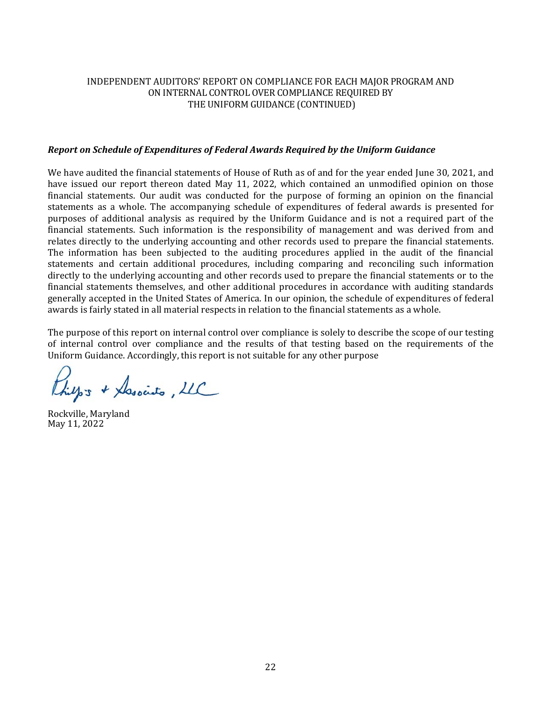# INDEPENDENT AUDITORS' REPORT ON COMPLIANCE FOR EACH MAJOR PROGRAM AND ON INTERNAL CONTROL OVER COMPLIANCE REQUIRED BY THE UNIFORM GUIDANCE (CONTINUED)

# *Report on Schedule of Expenditures of Federal Awards Required by the Uniform Guidance*

We have audited the financial statements of House of Ruth as of and for the year ended June 30, 2021, and have issued our report thereon dated May 11, 2022, which contained an unmodified opinion on those financial statements. Our audit was conducted for the purpose of forming an opinion on the financial statements as a whole. The accompanying schedule of expenditures of federal awards is presented for purposes of additional analysis as required by the Uniform Guidance and is not a required part of the financial statements. Such information is the responsibility of management and was derived from and relates directly to the underlying accounting and other records used to prepare the financial statements. The information has been subjected to the auditing procedures applied in the audit of the financial statements and certain additional procedures, including comparing and reconciling such information directly to the underlying accounting and other records used to prepare the financial statements or to the financial statements themselves, and other additional procedures in accordance with auditing standards generally accepted in the United States of America. In our opinion, the schedule of expenditures of federal awards is fairly stated in all material respects in relation to the financial statements as a whole.

The purpose of this report on internal control over compliance is solely to describe the scope of our testing of internal control over compliance and the results of that testing based on the requirements of the Uniform Guidance. Accordingly, this report is not suitable for any other purpose

hips + Associato, LLC

Rockville, Maryland May 11, 2022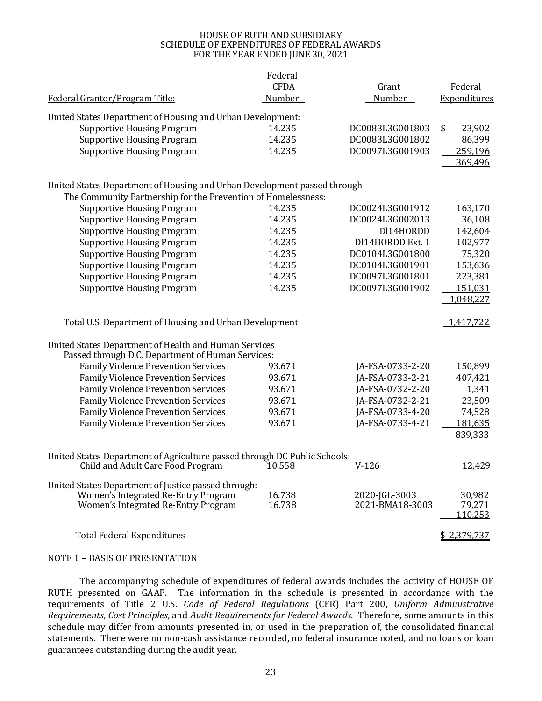### HOUSE OF RUTH AND SUBSIDIARY SCHEDULE OF EXPENDITURES OF FEDERAL AWARDS FOR THE YEAR ENDED JUNE 30, 2021

|                                                                                                                       | Federal     |                  |              |
|-----------------------------------------------------------------------------------------------------------------------|-------------|------------------|--------------|
|                                                                                                                       | <b>CFDA</b> | Grant            | Federal      |
| Federal Grantor/Program Title:                                                                                        | Number      | <b>Number</b>    | Expenditures |
| United States Department of Housing and Urban Development:                                                            |             |                  |              |
| <b>Supportive Housing Program</b>                                                                                     | 14.235      | DC0083L3G001803  | \$<br>23,902 |
| <b>Supportive Housing Program</b>                                                                                     | 14.235      | DC0083L3G001802  | 86,399       |
| <b>Supportive Housing Program</b>                                                                                     | 14.235      | DC0097L3G001903  | 259,196      |
|                                                                                                                       |             |                  | 369,496      |
| United States Department of Housing and Urban Development passed through                                              |             |                  |              |
| The Community Partnership for the Prevention of Homelessness:                                                         |             |                  |              |
| <b>Supportive Housing Program</b>                                                                                     | 14.235      | DC0024L3G001912  | 163,170      |
| <b>Supportive Housing Program</b>                                                                                     | 14.235      | DC0024L3G002013  | 36,108       |
| <b>Supportive Housing Program</b>                                                                                     | 14.235      | DI14HORDD        | 142,604      |
| <b>Supportive Housing Program</b>                                                                                     | 14.235      | DI14HORDD Ext. 1 | 102,977      |
| <b>Supportive Housing Program</b>                                                                                     | 14.235      | DC0104L3G001800  | 75,320       |
| <b>Supportive Housing Program</b>                                                                                     | 14.235      | DC0104L3G001901  | 153,636      |
| <b>Supportive Housing Program</b>                                                                                     | 14.235      | DC0097L3G001801  | 223,381      |
| <b>Supportive Housing Program</b>                                                                                     | 14.235      | DC0097L3G001902  | 151,031      |
|                                                                                                                       |             |                  | 1,048,227    |
|                                                                                                                       |             |                  |              |
| Total U.S. Department of Housing and Urban Development                                                                |             |                  | 1,417,722    |
| United States Department of Health and Human Services<br>Passed through D.C. Department of Human Services:            |             |                  |              |
| <b>Family Violence Prevention Services</b>                                                                            | 93.671      | JA-FSA-0733-2-20 | 150,899      |
| <b>Family Violence Prevention Services</b>                                                                            | 93.671      | JA-FSA-0733-2-21 | 407,421      |
| <b>Family Violence Prevention Services</b>                                                                            | 93.671      | JA-FSA-0732-2-20 | 1,341        |
| <b>Family Violence Prevention Services</b>                                                                            | 93.671      | JA-FSA-0732-2-21 | 23,509       |
| <b>Family Violence Prevention Services</b>                                                                            | 93.671      | JA-FSA-0733-4-20 | 74,528       |
| <b>Family Violence Prevention Services</b>                                                                            | 93.671      | JA-FSA-0733-4-21 | 181,635      |
|                                                                                                                       |             |                  | 839,333      |
|                                                                                                                       |             |                  |              |
| United States Department of Agriculture passed through DC Public Schools:<br>Child and Adult Care Food Program 10.558 |             | $V-126$          | 12,429       |
| United States Department of Justice passed through:                                                                   |             |                  |              |
| Women's Integrated Re-Entry Program                                                                                   | 16.738      | 2020-JGL-3003    | 30,982       |
| Women's Integrated Re-Entry Program                                                                                   | 16.738      | 2021-BMA18-3003  | 79,271       |
|                                                                                                                       |             |                  | 110,253      |

#### NOTE 1 – BASIS OF PRESENTATION

 The accompanying schedule of expenditures of federal awards includes the activity of HOUSE OF RUTH presented on GAAP. The information in the schedule is presented in accordance with the requirements of Title 2 U.S. *Code of Federal Regulations* (CFR) Part 200, *Uniform Administrative Requirements*, *Cost Principles*, and *Audit Requirements for Federal Awards*. Therefore, some amounts in this schedule may differ from amounts presented in, or used in the preparation of, the consolidated financial statements. There were no non-cash assistance recorded, no federal insurance noted, and no loans or loan guarantees outstanding during the audit year.